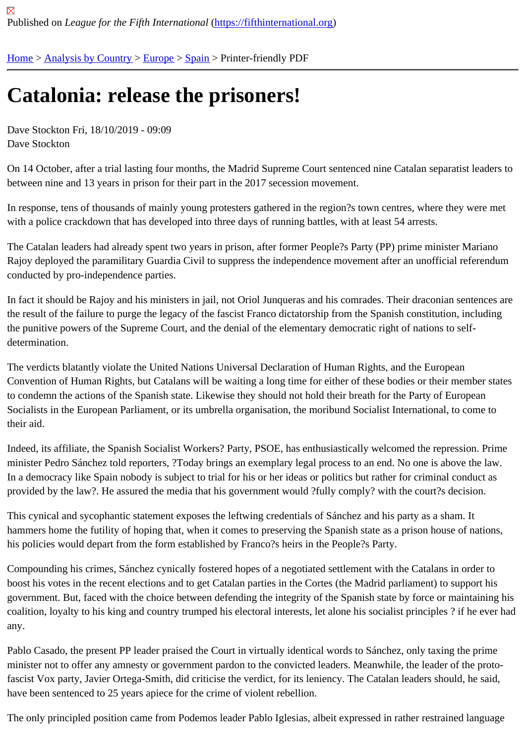## [Ca](https://fifthinternational.org/)t[alonia: rel](https://fifthinternational.org/category/1)[ease](https://fifthinternational.org/category/1/128) [the](https://fifthinternational.org/category/1/128/171) prisoners!

Dave Stockton Fri, 18/10/2019 - 09:09 Dave Stockton

On 14 October, after a trial lasting four months, the Madrid Supreme Court sentenced nine Catalan separatist lead between nine and 13 years in prison for their part in the 2017 secession movement.

In response, tens of thousands of mainly young protesters gathered in the region?s town centres, where they were with a police crackdown that has developed into three days of running battles, with at least 54 arrests.

The Catalan leaders had already spent two years in prison, after former People?s Party (PP) prime minister Maria Rajoy deployed the paramilitary Guardia Civil to suppress the independence movement after an unofficial referend conducted by pro-independence parties.

In fact it should be Rajoy and his ministers in jail, not Oriol Junqueras and his comrades. Their draconian sentence the result of the failure to purge the legacy of the fascist Franco dictatorship from the Spanish constitution, includin the punitive powers of the Supreme Court, and the denial of the elementary democratic right of nations to selfdetermination.

The verdicts blatantly violate the United Nations Universal Declaration of Human Rights, and the European Convention of Human Rights, but Catalans will be waiting a long time for either of these bodies or their member st to condemn the actions of the Spanish state. Likewise they should not hold their breath for the Party of European Socialists in the European Parliament, or its umbrella organisation, the moribund Socialist International, to come to their aid.

Indeed, its affiliate, the Spanish Socialist Workers? Party, PSOE, has enthusiastically welcomed the repression. P minister Pedro Sánchez told reporters, ?Today brings an exemplary legal process to an end. No one is above the In a democracy like Spain nobody is subject to trial for his or her ideas or politics but rather for criminal conduct as provided by the law?. He assured the media that his government would ?fully comply? with the court?s decision.

This cynical and sycophantic statement exposes the leftwing credentials of Sánchez and his party as a sham. It hammers home the futility of hoping that, when it comes to preserving the Spanish state as a prison house of natio his policies would depart from the form established by Franco?s heirs in the People?s Party.

Compounding his crimes, Sánchez cynically fostered hopes of a negotiated settlement with the Catalans in order t boost his votes in the recent elections and to get Catalan parties in the Cortes (the Madrid parliament) to support h government. But, faced with the choice between defending the integrity of the Spanish state by force or maintainin coalition, loyalty to his king and country trumped his electoral interests, let alone his socialist principles ? if he ever any.

Pablo Casado, the present PP leader praised the Court in virtually identical words to Sánchez, only taxing the prin minister not to offer any amnesty or government pardon to the convicted leaders. Meanwhile, the leader of the pro fascist Vox party, Javier Ortega-Smith, did criticise the verdict, for its leniency. The Catalan leaders should, he said have been sentenced to 25 years apiece for the crime of violent rebellion.

The only principled position came from Podemos leader Pablo Iglesias, albeit expressed in rather restrained language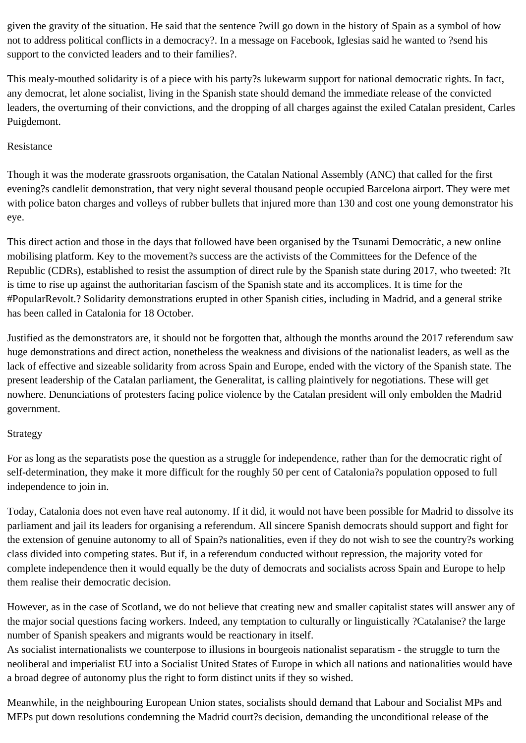given the gravity of the situation. He said that the sentence ?will go down in the history of Spain as a symbol of how not to address political conflicts in a democracy?. In a message on Facebook, Iglesias said he wanted to ?send his support to the convicted leaders and to their families?.

This mealy-mouthed solidarity is of a piece with his party?s lukewarm support for national democratic rights. In fact, any democrat, let alone socialist, living in the Spanish state should demand the immediate release of the convicted leaders, the overturning of their convictions, and the dropping of all charges against the exiled Catalan president, Carles Puigdemont.

## Resistance

Though it was the moderate grassroots organisation, the Catalan National Assembly (ANC) that called for the first evening?s candlelit demonstration, that very night several thousand people occupied Barcelona airport. They were met with police baton charges and volleys of rubber bullets that injured more than 130 and cost one young demonstrator his eye.

This direct action and those in the days that followed have been organised by the Tsunami Democràtic, a new online mobilising platform. Key to the movement?s success are the activists of the Committees for the Defence of the Republic (CDRs), established to resist the assumption of direct rule by the Spanish state during 2017, who tweeted: ?It is time to rise up against the authoritarian fascism of the Spanish state and its accomplices. It is time for the #PopularRevolt.? Solidarity demonstrations erupted in other Spanish cities, including in Madrid, and a general strike has been called in Catalonia for 18 October.

Justified as the demonstrators are, it should not be forgotten that, although the months around the 2017 referendum saw huge demonstrations and direct action, nonetheless the weakness and divisions of the nationalist leaders, as well as the lack of effective and sizeable solidarity from across Spain and Europe, ended with the victory of the Spanish state. The present leadership of the Catalan parliament, the Generalitat, is calling plaintively for negotiations. These will get nowhere. Denunciations of protesters facing police violence by the Catalan president will only embolden the Madrid government.

## Strategy

For as long as the separatists pose the question as a struggle for independence, rather than for the democratic right of self-determination, they make it more difficult for the roughly 50 per cent of Catalonia?s population opposed to full independence to join in.

Today, Catalonia does not even have real autonomy. If it did, it would not have been possible for Madrid to dissolve its parliament and jail its leaders for organising a referendum. All sincere Spanish democrats should support and fight for the extension of genuine autonomy to all of Spain?s nationalities, even if they do not wish to see the country?s working class divided into competing states. But if, in a referendum conducted without repression, the majority voted for complete independence then it would equally be the duty of democrats and socialists across Spain and Europe to help them realise their democratic decision.

However, as in the case of Scotland, we do not believe that creating new and smaller capitalist states will answer any of the major social questions facing workers. Indeed, any temptation to culturally or linguistically ?Catalanise? the large number of Spanish speakers and migrants would be reactionary in itself.

As socialist internationalists we counterpose to illusions in bourgeois nationalist separatism - the struggle to turn the neoliberal and imperialist EU into a Socialist United States of Europe in which all nations and nationalities would have a broad degree of autonomy plus the right to form distinct units if they so wished.

Meanwhile, in the neighbouring European Union states, socialists should demand that Labour and Socialist MPs and MEPs put down resolutions condemning the Madrid court?s decision, demanding the unconditional release of the